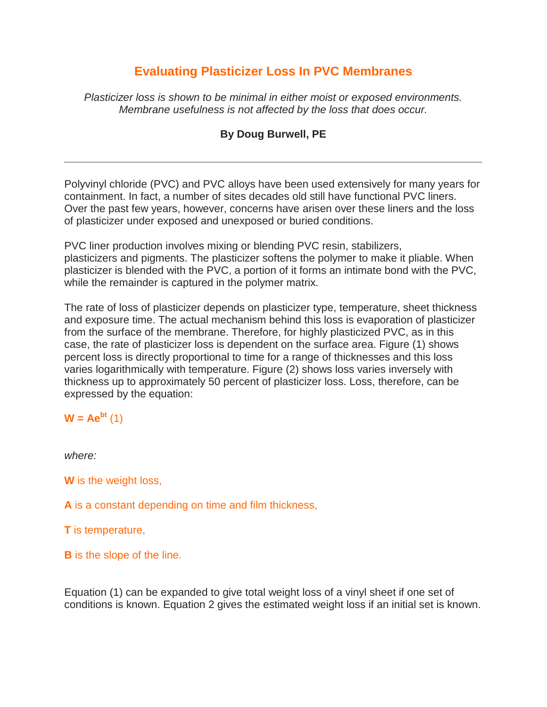# **Evaluating Plasticizer Loss In PVC Membranes**

*Plasticizer loss is shown to be minimal in either moist or exposed environments. Membrane usefulness is not affected by the loss that does occur.*

### **By Doug Burwell, PE**

Polyvinyl chloride (PVC) and PVC alloys have been used extensively for many years for containment. In fact, a number of sites decades old still have functional PVC liners. Over the past few years, however, concerns have arisen over these liners and the loss of plasticizer under exposed and unexposed or buried conditions.

PVC liner production involves mixing or blending PVC resin, stabilizers, plasticizers and pigments. The plasticizer softens the polymer to make it pliable. When plasticizer is blended with the PVC, a portion of it forms an intimate bond with the PVC, while the remainder is captured in the polymer matrix.

The rate of loss of plasticizer depends on plasticizer type, temperature, sheet thickness and exposure time. The actual mechanism behind this loss is evaporation of plasticizer from the surface of the membrane. Therefore, for highly plasticized PVC, as in this case, the rate of plasticizer loss is dependent on the surface area. Figure (1) shows percent loss is directly proportional to time for a range of thicknesses and this loss varies logarithmically with temperature. Figure (2) shows loss varies inversely with thickness up to approximately 50 percent of plasticizer loss. Loss, therefore, can be expressed by the equation:

## $W = Ae^{bt}$  (1)

*where:*

**W** is the weight loss,

**A** is a constant depending on time and film thickness,

**T** is temperature,

**B** is the slope of the line.

Equation (1) can be expanded to give total weight loss of a vinyl sheet if one set of conditions is known. Equation 2 gives the estimated weight loss if an initial set is known.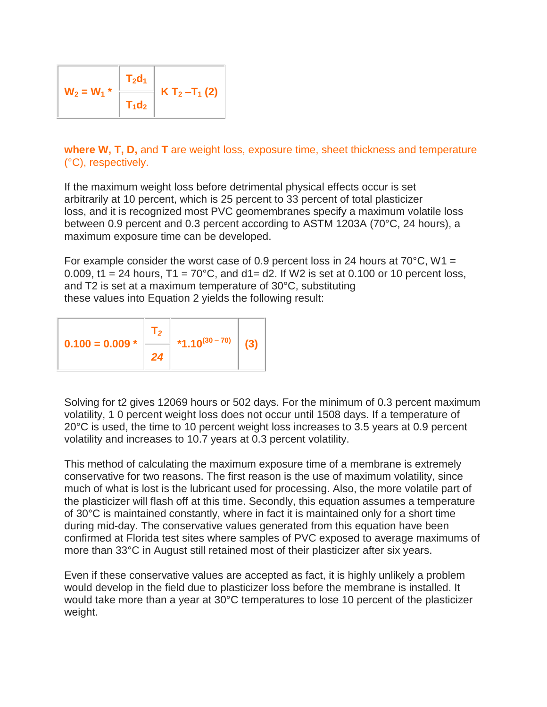| $W_2 = W_1$ * | $T_2d_1$ |                   |
|---------------|----------|-------------------|
|               | $T_1d_2$ | $K T_2 - T_1 (2)$ |

**where W, T, D,** and **T** are weight loss, exposure time, sheet thickness and temperature (°C), respectively.

If the maximum weight loss before detrimental physical effects occur is set arbitrarily at 10 percent, which is 25 percent to 33 percent of total plasticizer loss, and it is recognized most PVC geomembranes specify a maximum volatile loss between 0.9 percent and 0.3 percent according to ASTM 1203A (70°C, 24 hours), a maximum exposure time can be developed.

For example consider the worst case of 0.9 percent loss in 24 hours at  $70^{\circ}$ C, W1 = 0.009, t1 = 24 hours,  $T1 = 70^{\circ}$ C, and  $d1 = d2$ . If W2 is set at 0.100 or 10 percent loss, and T2 is set at a maximum temperature of 30°C, substituting these values into Equation 2 yields the following result:

$$
0.100 = 0.009 * \begin{array}{|c|c|} \hline T_2 & & \\ 24 & & \\ \hline \end{array} \begin{array}{|c|c|} \hline 1.10^{(30-70)} & & \\ \hline \end{array} \qquad (3)
$$

Solving for t2 gives 12069 hours or 502 days. For the minimum of 0.3 percent maximum volatility, 1 0 percent weight loss does not occur until 1508 days. If a temperature of 20°C is used, the time to 10 percent weight loss increases to 3.5 years at 0.9 percent volatility and increases to 10.7 years at 0.3 percent volatility.

This method of calculating the maximum exposure time of a membrane is extremely conservative for two reasons. The first reason is the use of maximum volatility, since much of what is lost is the lubricant used for processing. Also, the more volatile part of the plasticizer will flash off at this time. Secondly, this equation assumes a temperature of 30°C is maintained constantly, where in fact it is maintained only for a short time during mid-day. The conservative values generated from this equation have been confirmed at Florida test sites where samples of PVC exposed to average maximums of more than 33°C in August still retained most of their plasticizer after six years.

Even if these conservative values are accepted as fact, it is highly unlikely a problem would develop in the field due to plasticizer loss before the membrane is installed. It would take more than a year at 30°C temperatures to lose 10 percent of the plasticizer weight.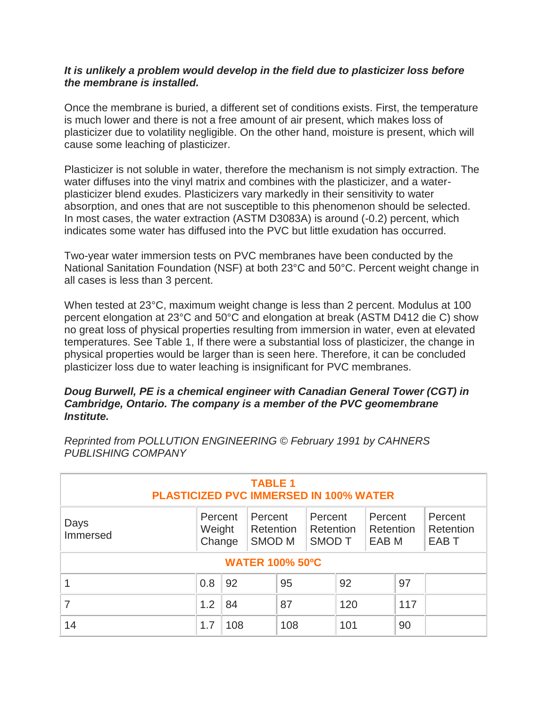### *It is unlikely a problem would develop in the field due to plasticizer loss before the membrane is installed.*

Once the membrane is buried, a different set of conditions exists. First, the temperature is much lower and there is not a free amount of air present, which makes loss of plasticizer due to volatility negligible. On the other hand, moisture is present, which will cause some leaching of plasticizer.

Plasticizer is not soluble in water, therefore the mechanism is not simply extraction. The water diffuses into the vinyl matrix and combines with the plasticizer, and a waterplasticizer blend exudes. Plasticizers vary markedly in their sensitivity to water absorption, and ones that are not susceptible to this phenomenon should be selected. In most cases, the water extraction (ASTM D3083A) is around (-0.2) percent, which indicates some water has diffused into the PVC but little exudation has occurred.

Two-year water immersion tests on PVC membranes have been conducted by the National Sanitation Foundation (NSF) at both 23°C and 50°C. Percent weight change in all cases is less than 3 percent.

When tested at 23°C, maximum weight change is less than 2 percent. Modulus at 100 percent elongation at 23°C and 50°C and elongation at break (ASTM D412 die C) show no great loss of physical properties resulting from immersion in water, even at elevated temperatures. See Table 1, If there were a substantial loss of plasticizer, the change in physical properties would be larger than is seen here. Therefore, it can be concluded plasticizer loss due to water leaching is insignificant for PVC membranes.

#### *Doug Burwell, PE is a chemical engineer with Canadian General Tower (CGT) in Cambridge, Ontario. The company is a member of the PVC geomembrane Institute.*

| <b>TABLE 1</b><br><b>PLASTICIZED PVC IMMERSED IN 100% WATER</b> |                             |     |                                           |     |                                       |     |                                          |     |                                          |
|-----------------------------------------------------------------|-----------------------------|-----|-------------------------------------------|-----|---------------------------------------|-----|------------------------------------------|-----|------------------------------------------|
| Days<br>Immersed                                                | Percent<br>Weight<br>Change |     | Percent<br>Retention<br>SMOD <sub>M</sub> |     | Percent<br>Retention<br><b>SMOD T</b> |     | Percent<br>Retention<br>EAB <sub>M</sub> |     | Percent<br>Retention<br>EAB <sub>T</sub> |
| <b>WATER 100% 50°C</b>                                          |                             |     |                                           |     |                                       |     |                                          |     |                                          |
|                                                                 | 0.8                         | 92  |                                           | 95  |                                       | 92  |                                          | 97  |                                          |
|                                                                 | 1.2                         | 84  |                                           | 87  |                                       | 120 |                                          | 117 |                                          |
| 14                                                              | 1.7                         | 108 |                                           | 108 |                                       | 101 |                                          | 90  |                                          |

*Reprinted from POLLUTION ENGINEERING © February 1991 by CAHNERS PUBLISHING COMPANY*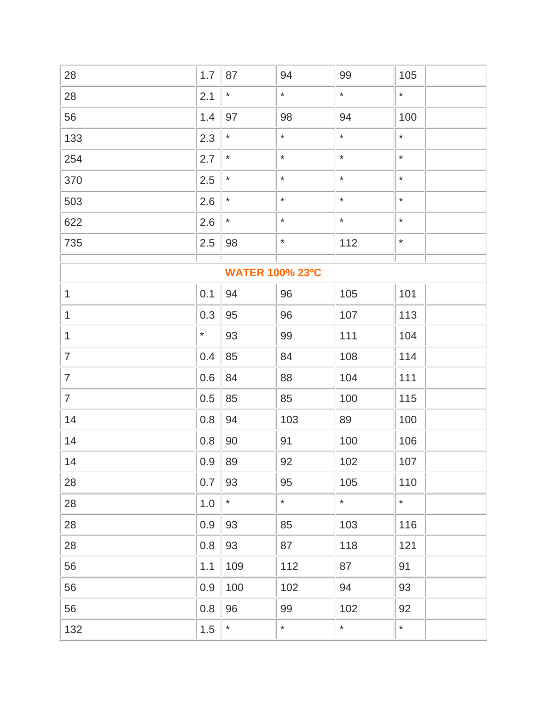| 28                     | 1.7     | 87      | 94      | 99      | 105     |  |  |
|------------------------|---------|---------|---------|---------|---------|--|--|
| 28                     | 2.1     | $\star$ | $\star$ | $\star$ | $\star$ |  |  |
| 56                     | 1.4     | 97      | 98      | 94      | 100     |  |  |
| 133                    | 2.3     | $\star$ | $\star$ | $\star$ | $\star$ |  |  |
| 254                    | 2.7     | $\star$ | $\star$ | $\star$ | $\star$ |  |  |
| 370                    | 2.5     | $\star$ | $\star$ | $\star$ | $\star$ |  |  |
| 503                    | 2.6     | $\star$ | $\star$ | $\star$ | $\star$ |  |  |
| 622                    | 2.6     | $\star$ | $\star$ | $\star$ | $\star$ |  |  |
| 735                    | 2.5     | 98      | $\star$ | 112     | $\star$ |  |  |
| <b>WATER 100% 23°C</b> |         |         |         |         |         |  |  |
| $\mathbf{1}$           | 0.1     | 94      | 96      | 105     | 101     |  |  |
| 1                      | 0.3     | 95      | 96      | 107     | 113     |  |  |
| $\mathbf{1}$           | $\star$ | 93      | 99      | 111     | 104     |  |  |
| $\overline{7}$         | 0.4     | 85      | 84      | 108     | 114     |  |  |
| $\overline{7}$         | 0.6     | 84      | 88      | 104     | 111     |  |  |
| $\overline{7}$         | 0.5     | 85      | 85      | 100     | 115     |  |  |
| 14                     | 0.8     | 94      | 103     | 89      | 100     |  |  |
| 14                     | 0.8     | 90      | 91      | 100     | 106     |  |  |
| 14                     | 0.9     | 89      | 92      | 102     | 107     |  |  |
| 28                     | 0.7     | 93      | 95      | 105     | 110     |  |  |
| 28                     | $1.0$   | $\star$ | $\star$ | $\star$ | $\star$ |  |  |
| 28                     | 0.9     | 93      | 85      | 103     | 116     |  |  |
| 28                     | 0.8     | 93      | 87      | 118     | 121     |  |  |
| 56                     | 1.1     | 109     | 112     | 87      | 91      |  |  |
| 56                     | 0.9     | 100     | 102     | 94      | 93      |  |  |
| 56                     | 0.8     | 96      | 99      | 102     | 92      |  |  |
| 132                    | 1.5     | $\star$ | $\star$ | $\star$ | $\star$ |  |  |